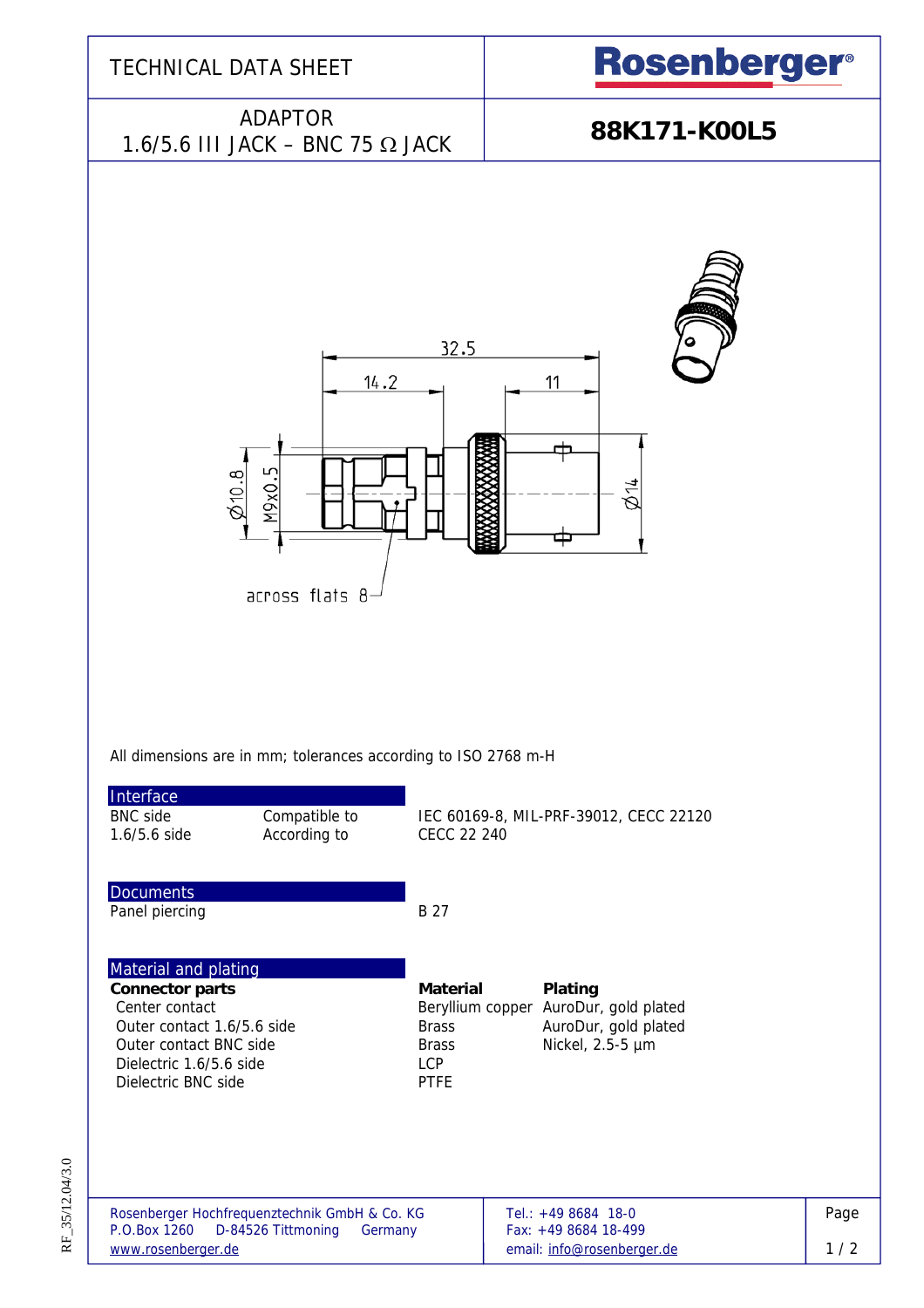

RF\_35/12.04/3.0 RF\_35/12.04/3.0